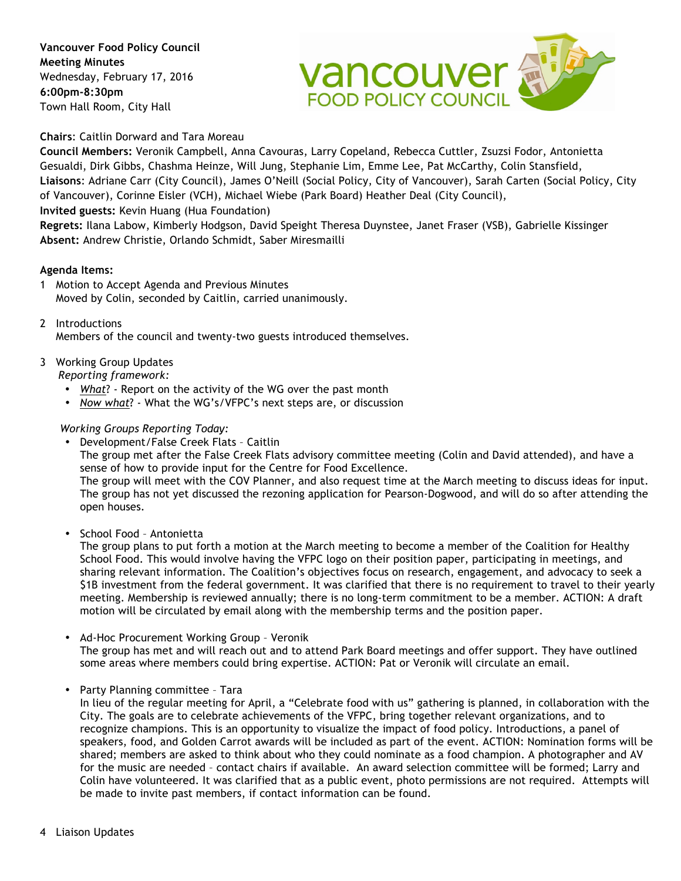**Vancouver Food Policy Council Meeting Minutes** Wednesday, February 17, 2016 **6:00pm-8:30pm** Town Hall Room, City Hall



**Chairs**: Caitlin Dorward and Tara Moreau

**Council Members:** Veronik Campbell, Anna Cavouras, Larry Copeland, Rebecca Cuttler, Zsuzsi Fodor, Antonietta Gesualdi, Dirk Gibbs, Chashma Heinze, Will Jung, Stephanie Lim, Emme Lee, Pat McCarthy, Colin Stansfield, **Liaisons**: Adriane Carr (City Council), James O'Neill (Social Policy, City of Vancouver), Sarah Carten (Social Policy, City of Vancouver), Corinne Eisler (VCH), Michael Wiebe (Park Board) Heather Deal (City Council), **Invited guests:** Kevin Huang (Hua Foundation)

**Regrets:** Ilana Labow, Kimberly Hodgson, David Speight Theresa Duynstee, Janet Fraser (VSB), Gabrielle Kissinger **Absent:** Andrew Christie, Orlando Schmidt, Saber Miresmailli

# **Agenda Items:**

- 1 Motion to Accept Agenda and Previous Minutes Moved by Colin, seconded by Caitlin, carried unanimously.
- 2 Introductions Members of the council and twenty-two guests introduced themselves.

# 3 Working Group Updates

*Reporting framework:*

- *What*? Report on the activity of the WG over the past month
- *Now what*? What the WG's/VFPC's next steps are, or discussion

# *Working Groups Reporting Today:*

• Development/False Creek Flats – Caitlin

The group met after the False Creek Flats advisory committee meeting (Colin and David attended), and have a sense of how to provide input for the Centre for Food Excellence.

The group will meet with the COV Planner, and also request time at the March meeting to discuss ideas for input. The group has not yet discussed the rezoning application for Pearson-Dogwood, and will do so after attending the open houses.

• School Food – Antonietta

The group plans to put forth a motion at the March meeting to become a member of the Coalition for Healthy School Food. This would involve having the VFPC logo on their position paper, participating in meetings, and sharing relevant information. The Coalition's objectives focus on research, engagement, and advocacy to seek a \$1B investment from the federal government. It was clarified that there is no requirement to travel to their yearly meeting. Membership is reviewed annually; there is no long-term commitment to be a member. ACTION: A draft motion will be circulated by email along with the membership terms and the position paper.

- Ad-Hoc Procurement Working Group Veronik The group has met and will reach out and to attend Park Board meetings and offer support. They have outlined some areas where members could bring expertise. ACTION: Pat or Veronik will circulate an email.
- Party Planning committee Tara

In lieu of the regular meeting for April, a "Celebrate food with us" gathering is planned, in collaboration with the City. The goals are to celebrate achievements of the VFPC, bring together relevant organizations, and to recognize champions. This is an opportunity to visualize the impact of food policy. Introductions, a panel of speakers, food, and Golden Carrot awards will be included as part of the event. ACTION: Nomination forms will be shared; members are asked to think about who they could nominate as a food champion. A photographer and AV for the music are needed – contact chairs if available. An award selection committee will be formed; Larry and Colin have volunteered. It was clarified that as a public event, photo permissions are not required. Attempts will be made to invite past members, if contact information can be found.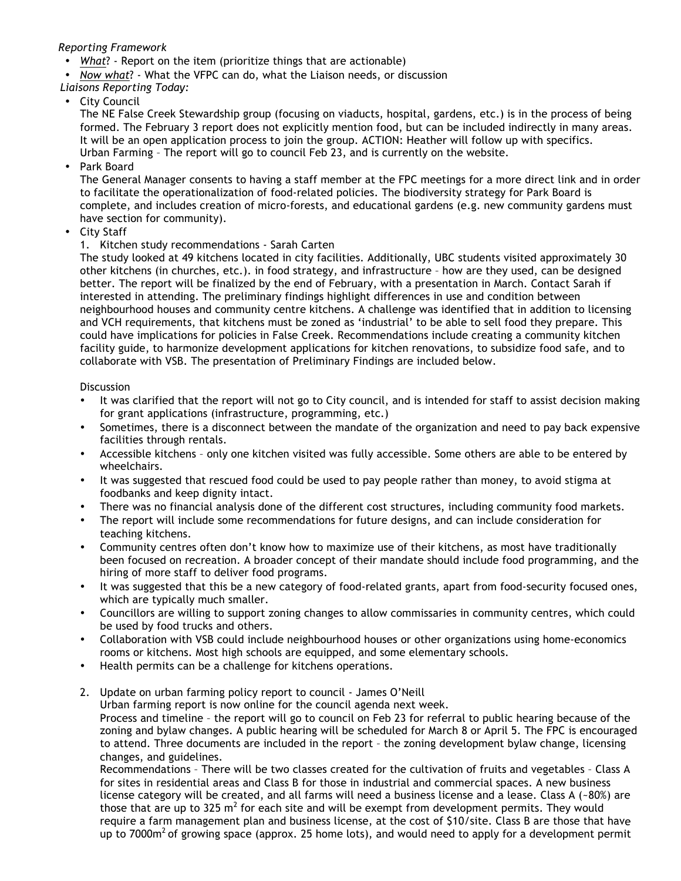### *Reporting Framework*

- *What*? Report on the item (prioritize things that are actionable)
- *Now what*? What the VFPC can do, what the Liaison needs, or discussion
- *Liaisons Reporting Today:*
- City Council

The NE False Creek Stewardship group (focusing on viaducts, hospital, gardens, etc.) is in the process of being formed. The February 3 report does not explicitly mention food, but can be included indirectly in many areas. It will be an open application process to join the group. ACTION: Heather will follow up with specifics. Urban Farming – The report will go to council Feb 23, and is currently on the website.

Park Board

The General Manager consents to having a staff member at the FPC meetings for a more direct link and in order to facilitate the operationalization of food-related policies. The biodiversity strategy for Park Board is complete, and includes creation of micro-forests, and educational gardens (e.g. new community gardens must have section for community).

- City Staff
	- 1. Kitchen study recommendations Sarah Carten

The study looked at 49 kitchens located in city facilities. Additionally, UBC students visited approximately 30 other kitchens (in churches, etc.). in food strategy, and infrastructure – how are they used, can be designed better. The report will be finalized by the end of February, with a presentation in March. Contact Sarah if interested in attending. The preliminary findings highlight differences in use and condition between neighbourhood houses and community centre kitchens. A challenge was identified that in addition to licensing and VCH requirements, that kitchens must be zoned as 'industrial' to be able to sell food they prepare. This could have implications for policies in False Creek. Recommendations include creating a community kitchen facility guide, to harmonize development applications for kitchen renovations, to subsidize food safe, and to collaborate with VSB. The presentation of Preliminary Findings are included below.

#### Discussion

- It was clarified that the report will not go to City council, and is intended for staff to assist decision making for grant applications (infrastructure, programming, etc.)
- Sometimes, there is a disconnect between the mandate of the organization and need to pay back expensive facilities through rentals.
- Accessible kitchens only one kitchen visited was fully accessible. Some others are able to be entered by wheelchairs.
- It was suggested that rescued food could be used to pay people rather than money, to avoid stigma at foodbanks and keep dignity intact.
- There was no financial analysis done of the different cost structures, including community food markets.
- The report will include some recommendations for future designs, and can include consideration for teaching kitchens.
- Community centres often don't know how to maximize use of their kitchens, as most have traditionally been focused on recreation. A broader concept of their mandate should include food programming, and the hiring of more staff to deliver food programs.
- It was suggested that this be a new category of food-related grants, apart from food-security focused ones, which are typically much smaller.
- Councillors are willing to support zoning changes to allow commissaries in community centres, which could be used by food trucks and others.
- Collaboration with VSB could include neighbourhood houses or other organizations using home-economics rooms or kitchens. Most high schools are equipped, and some elementary schools.
- Health permits can be a challenge for kitchens operations.
- 2. Update on urban farming policy report to council James O'Neill Urban farming report is now online for the council agenda next week. Process and timeline – the report will go to council on Feb 23 for referral to public hearing because of the zoning and bylaw changes. A public hearing will be scheduled for March 8 or April 5. The FPC is encouraged to attend. Three documents are included in the report – the zoning development bylaw change, licensing

changes, and guidelines. Recommendations – There will be two classes created for the cultivation of fruits and vegetables – Class A for sites in residential areas and Class B for those in industrial and commercial spaces. A new business license category will be created, and all farms will need a business license and a lease. Class A (~80%) are those that are up to 325  $m^2$  for each site and will be exempt from development permits. They would require a farm management plan and business license, at the cost of \$10/site. Class B are those that have up to 7000 $m<sup>2</sup>$  of growing space (approx. 25 home lots), and would need to apply for a development permit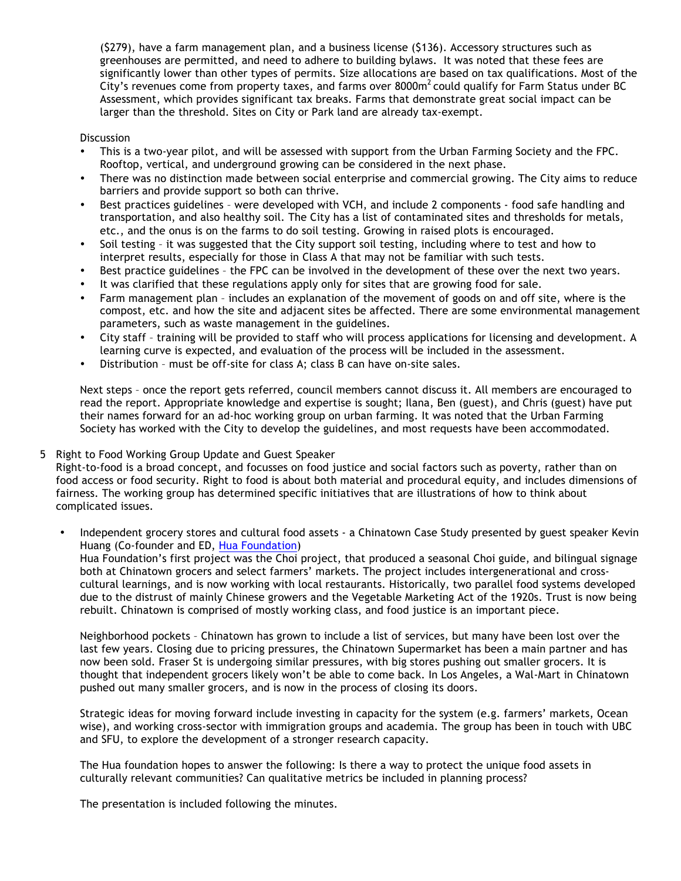(\$279), have a farm management plan, and a business license (\$136). Accessory structures such as greenhouses are permitted, and need to adhere to building bylaws. It was noted that these fees are significantly lower than other types of permits. Size allocations are based on tax qualifications. Most of the City's revenues come from property taxes, and farms over 8000m<sup>2</sup> could qualify for Farm Status under BC Assessment, which provides significant tax breaks. Farms that demonstrate great social impact can be larger than the threshold. Sites on City or Park land are already tax-exempt.

#### **Discussion**

- This is a two-year pilot, and will be assessed with support from the Urban Farming Society and the FPC. Rooftop, vertical, and underground growing can be considered in the next phase.
- There was no distinction made between social enterprise and commercial growing. The City aims to reduce barriers and provide support so both can thrive.
- Best practices guidelines were developed with VCH, and include 2 components food safe handling and transportation, and also healthy soil. The City has a list of contaminated sites and thresholds for metals, etc., and the onus is on the farms to do soil testing. Growing in raised plots is encouraged.
- Soil testing it was suggested that the City support soil testing, including where to test and how to interpret results, especially for those in Class A that may not be familiar with such tests.
- Best practice guidelines the FPC can be involved in the development of these over the next two years.
- It was clarified that these regulations apply only for sites that are growing food for sale.
- Farm management plan includes an explanation of the movement of goods on and off site, where is the compost, etc. and how the site and adjacent sites be affected. There are some environmental management parameters, such as waste management in the guidelines.
- City staff training will be provided to staff who will process applications for licensing and development. A learning curve is expected, and evaluation of the process will be included in the assessment.
- Distribution must be off-site for class A; class B can have on-site sales.

Next steps – once the report gets referred, council members cannot discuss it. All members are encouraged to read the report. Appropriate knowledge and expertise is sought; Ilana, Ben (guest), and Chris (guest) have put their names forward for an ad-hoc working group on urban farming. It was noted that the Urban Farming Society has worked with the City to develop the guidelines, and most requests have been accommodated.

#### 5 Right to Food Working Group Update and Guest Speaker

Right-to-food is a broad concept, and focusses on food justice and social factors such as poverty, rather than on food access or food security. Right to food is about both material and procedural equity, and includes dimensions of fairness. The working group has determined specific initiatives that are illustrations of how to think about complicated issues.

Independent grocery stores and cultural food assets - a Chinatown Case Study presented by guest speaker Kevin Huang (Co-founder and ED, Hua Foundation) Hua Foundation's first project was the Choi project, that produced a seasonal Choi guide, and bilingual signage both at Chinatown grocers and select farmers' markets. The project includes intergenerational and crosscultural learnings, and is now working with local restaurants. Historically, two parallel food systems developed due to the distrust of mainly Chinese growers and the Vegetable Marketing Act of the 1920s. Trust is now being rebuilt. Chinatown is comprised of mostly working class, and food justice is an important piece.

Neighborhood pockets – Chinatown has grown to include a list of services, but many have been lost over the last few years. Closing due to pricing pressures, the Chinatown Supermarket has been a main partner and has now been sold. Fraser St is undergoing similar pressures, with big stores pushing out smaller grocers. It is thought that independent grocers likely won't be able to come back. In Los Angeles, a Wal-Mart in Chinatown pushed out many smaller grocers, and is now in the process of closing its doors.

Strategic ideas for moving forward include investing in capacity for the system (e.g. farmers' markets, Ocean wise), and working cross-sector with immigration groups and academia. The group has been in touch with UBC and SFU, to explore the development of a stronger research capacity.

The Hua foundation hopes to answer the following: Is there a way to protect the unique food assets in culturally relevant communities? Can qualitative metrics be included in planning process?

The presentation is included following the minutes.